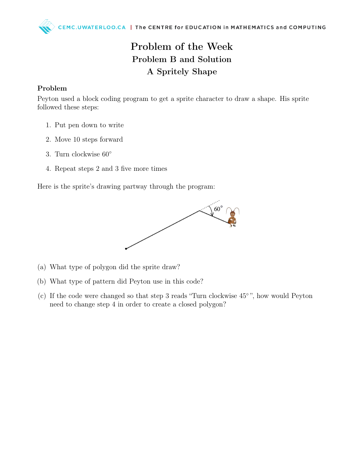## Problem of the Week Problem B and Solution A Spritely Shape

## Problem

Peyton used a block coding program to get a sprite character to draw a shape. His sprite followed these steps:

- 1. Put pen down to write
- 2. Move 10 steps forward
- 3. Turn clockwise 60◦
- 4. Repeat steps 2 and 3 five more times

Here is the sprite's drawing partway through the program:



- (a) What type of polygon did the sprite draw?
- (b) What type of pattern did Peyton use in this code?
- (c) If the code were changed so that step 3 reads "Turn clockwise 45◦ ", how would Peyton need to change step 4 in order to create a closed polygon?